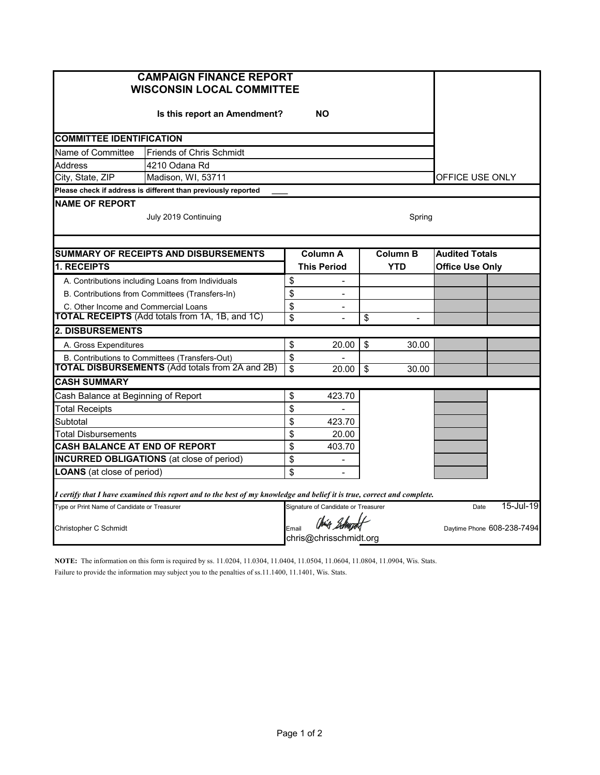| <b>CAMPAIGN FINANCE REPORT</b><br><b>WISCONSIN LOCAL COMMITTEE</b>                                                      |                                                               |                 |                                                  |                       |                            |                        |           |  |  |
|-------------------------------------------------------------------------------------------------------------------------|---------------------------------------------------------------|-----------------|--------------------------------------------------|-----------------------|----------------------------|------------------------|-----------|--|--|
|                                                                                                                         |                                                               |                 |                                                  |                       |                            |                        |           |  |  |
| <b>COMMITTEE IDENTIFICATION</b>                                                                                         |                                                               |                 |                                                  |                       |                            |                        |           |  |  |
| Name of Committee                                                                                                       | Friends of Chris Schmidt                                      |                 |                                                  |                       |                            |                        |           |  |  |
| Address                                                                                                                 | 4210 Odana Rd                                                 |                 |                                                  |                       |                            |                        |           |  |  |
| City, State, ZIP                                                                                                        | Madison, WI, 53711                                            | OFFICE USE ONLY |                                                  |                       |                            |                        |           |  |  |
|                                                                                                                         | Please check if address is different than previously reported |                 |                                                  |                       |                            |                        |           |  |  |
| <b>NAME OF REPORT</b><br>July 2019 Continuing<br>Spring                                                                 |                                                               |                 |                                                  |                       |                            |                        |           |  |  |
| <b>SUMMARY OF RECEIPTS AND DISBURSEMENTS</b>                                                                            | Column A                                                      |                 | <b>Column B</b>                                  | <b>Audited Totals</b> |                            |                        |           |  |  |
| <b>1. RECEIPTS</b>                                                                                                      |                                                               |                 | <b>This Period</b>                               |                       | <b>YTD</b>                 | <b>Office Use Only</b> |           |  |  |
|                                                                                                                         | A. Contributions including Loans from Individuals             | \$              |                                                  |                       |                            |                        |           |  |  |
|                                                                                                                         | B. Contributions from Committees (Transfers-In)               | \$              | $\blacksquare$                                   |                       |                            |                        |           |  |  |
| C. Other Income and Commercial Loans                                                                                    |                                                               | \$              | $\overline{\phantom{a}}$                         |                       |                            |                        |           |  |  |
|                                                                                                                         | <b>TOTAL RECEIPTS</b> (Add totals from 1A, 1B, and 1C)        | \$              |                                                  | \$                    | $\overline{\phantom{a}}$   |                        |           |  |  |
| <b>2. DISBURSEMENTS</b>                                                                                                 |                                                               |                 |                                                  |                       |                            |                        |           |  |  |
| A. Gross Expenditures                                                                                                   |                                                               | \$              | 20.00                                            | \$                    | 30.00                      |                        |           |  |  |
| B. Contributions to Committees (Transfers-Out)                                                                          |                                                               | \$              |                                                  |                       |                            |                        |           |  |  |
|                                                                                                                         | <b>TOTAL DISBURSEMENTS (Add totals from 2A and 2B)</b>        | \$              | 20.00                                            | \$                    | 30.00                      |                        |           |  |  |
| <b>CASH SUMMARY</b>                                                                                                     |                                                               |                 |                                                  |                       |                            |                        |           |  |  |
| Cash Balance at Beginning of Report                                                                                     |                                                               | \$              | 423.70                                           |                       |                            |                        |           |  |  |
| <b>Total Receipts</b>                                                                                                   |                                                               | \$              |                                                  |                       |                            |                        |           |  |  |
| Subtotal                                                                                                                |                                                               | \$              | 423.70                                           |                       |                            |                        |           |  |  |
| Total Disbursements                                                                                                     |                                                               | \$              | 20.00                                            |                       |                            |                        |           |  |  |
| CASH BALANCE AT END OF REPORT                                                                                           |                                                               | \$<br>\$        | 403.70                                           |                       |                            |                        |           |  |  |
| <b>INCURRED OBLIGATIONS</b> (at close of period)                                                                        |                                                               |                 | $\overline{\phantom{0}}$                         |                       |                            |                        |           |  |  |
| <b>LOANS</b> (at close of period)                                                                                       |                                                               | \$              | $\overline{\phantom{a}}$                         |                       |                            |                        |           |  |  |
| I certify that I have examined this report and to the best of my knowledge and belief it is true, correct and complete. |                                                               |                 |                                                  |                       |                            |                        |           |  |  |
| Type or Print Name of Candidate or Treasurer                                                                            |                                                               |                 | Signature of Candidate or Treasurer              |                       |                            | Date                   | 15-Jul-19 |  |  |
| Christopher C Schmidt                                                                                                   |                                                               |                 | Chia Schurcht<br>Email<br>chris@chrisschmidt.org |                       | Daytime Phone 608-238-7494 |                        |           |  |  |

**NOTE:** The information on this form is required by ss. 11.0204, 11.0304, 11.0404, 11.0504, 11.0604, 11.0804, 11.0904, Wis. Stats. Failure to provide the information may subject you to the penalties of ss.11.1400, 11.1401, Wis. Stats.